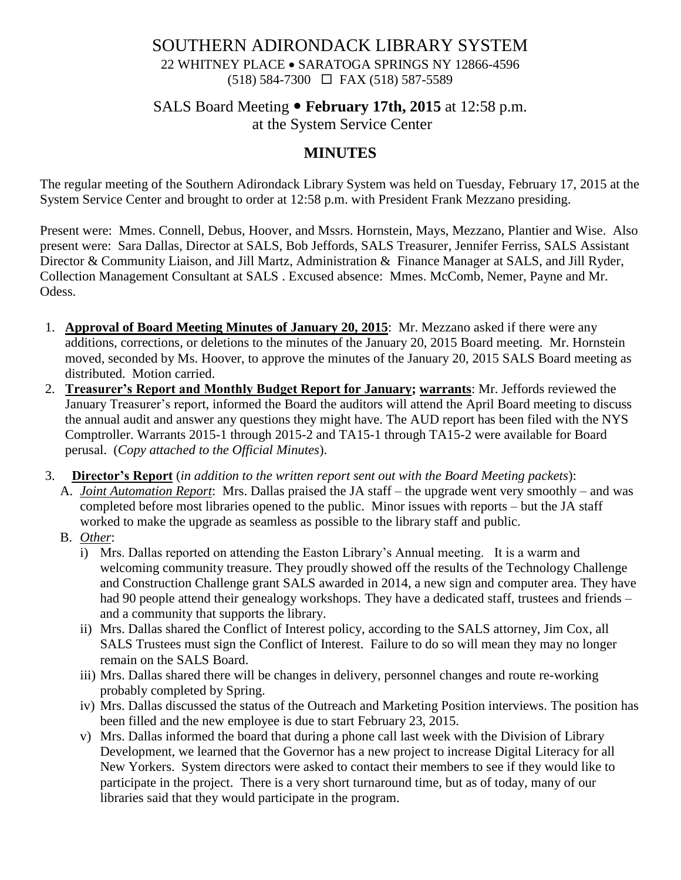# SOUTHERN ADIRONDACK LIBRARY SYSTEM 22 WHITNEY PLACE • SARATOGA SPRINGS NY 12866-4596 (518) 584-7300 FAX (518) 587-5589

# SALS Board Meeting • February 17th, 2015 at 12:58 p.m. at the System Service Center

# **MINUTES**

The regular meeting of the Southern Adirondack Library System was held on Tuesday, February 17, 2015 at the System Service Center and brought to order at 12:58 p.m. with President Frank Mezzano presiding.

Present were: Mmes. Connell, Debus, Hoover, and Mssrs. Hornstein, Mays, Mezzano, Plantier and Wise. Also present were: Sara Dallas, Director at SALS, Bob Jeffords, SALS Treasurer, Jennifer Ferriss, SALS Assistant Director & Community Liaison, and Jill Martz, Administration & Finance Manager at SALS, and Jill Ryder, Collection Management Consultant at SALS . Excused absence: Mmes. McComb, Nemer, Payne and Mr. Odess.

- 1. **Approval of Board Meeting Minutes of January 20, 2015**: Mr. Mezzano asked if there were any additions, corrections, or deletions to the minutes of the January 20, 2015 Board meeting. Mr. Hornstein moved, seconded by Ms. Hoover, to approve the minutes of the January 20, 2015 SALS Board meeting as distributed. Motion carried.
- 2. **Treasurer's Report and Monthly Budget Report for January; warrants**: Mr. Jeffords reviewed the January Treasurer's report, informed the Board the auditors will attend the April Board meeting to discuss the annual audit and answer any questions they might have. The AUD report has been filed with the NYS Comptroller. Warrants 2015-1 through 2015-2 and TA15-1 through TA15-2 were available for Board perusal. (*Copy attached to the Official Minutes*).
- 3. **Director's Report** (*in addition to the written report sent out with the Board Meeting packets*):
	- A. *Joint Automation Report*: Mrs. Dallas praised the JA staff the upgrade went very smoothly and was completed before most libraries opened to the public. Minor issues with reports – but the JA staff worked to make the upgrade as seamless as possible to the library staff and public.
	- B. *Other*:
		- i) Mrs. Dallas reported on attending the Easton Library's Annual meeting. It is a warm and welcoming community treasure. They proudly showed off the results of the Technology Challenge and Construction Challenge grant SALS awarded in 2014, a new sign and computer area. They have had 90 people attend their genealogy workshops. They have a dedicated staff, trustees and friends – and a community that supports the library.
		- ii) Mrs. Dallas shared the Conflict of Interest policy, according to the SALS attorney, Jim Cox, all SALS Trustees must sign the Conflict of Interest. Failure to do so will mean they may no longer remain on the SALS Board.
		- iii) Mrs. Dallas shared there will be changes in delivery, personnel changes and route re-working probably completed by Spring.
		- iv) Mrs. Dallas discussed the status of the Outreach and Marketing Position interviews. The position has been filled and the new employee is due to start February 23, 2015.
		- v) Mrs. Dallas informed the board that during a phone call last week with the Division of Library Development, we learned that the Governor has a new project to increase Digital Literacy for all New Yorkers. System directors were asked to contact their members to see if they would like to participate in the project. There is a very short turnaround time, but as of today, many of our libraries said that they would participate in the program.